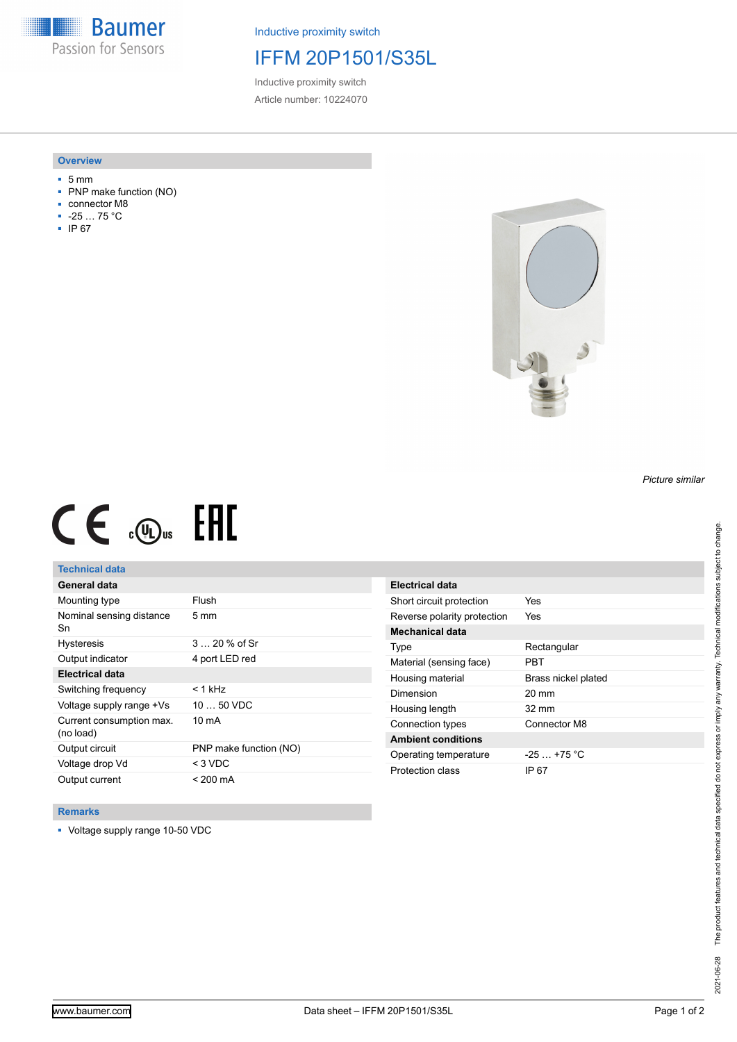**Baumer** Passion for Sensors

Inductive proximity switch

# IFFM 20P1501/S35L

Inductive proximity switch Article number: 10224070

### **Overview**

- 5 mm
- PNP make function (NO)
- connector M8
- -25 … 75 °C
- IP 67



# $CE \mathcal{L}$  .  $\mathbb{G}$ .

## **Technical data**

| General data                          |                        |
|---------------------------------------|------------------------|
| Mounting type                         | Flush                  |
| Nominal sensing distance<br>Sn        | $5 \text{ mm}$         |
| <b>Hysteresis</b>                     | $320%$ of Sr           |
| Output indicator                      | 4 port LED red         |
| Electrical data                       |                        |
| Switching frequency                   | $< 1$ kHz              |
| Voltage supply range +Vs              | $1050$ VDC             |
| Current consumption max.<br>(no load) | 10 mA                  |
| Output circuit                        | PNP make function (NO) |
| Voltage drop Vd                       | $<$ 3 VDC              |
| Output current                        | $< 200 \text{ mA}$     |

| Electrical data             |                     |
|-----------------------------|---------------------|
| Short circuit protection    | Yes                 |
| Reverse polarity protection | Yes                 |
| Mechanical data             |                     |
| Type                        | Rectangular         |
| Material (sensing face)     | PRT                 |
| Housing material            | Brass nickel plated |
| Dimension                   | $20 \text{ mm}$     |
| Housing length              | $32 \text{ mm}$     |
| Connection types            | Connector M8        |
| <b>Ambient conditions</b>   |                     |
| Operating temperature       | $-25 + 75$ °C       |
| Protection class            | IP 67               |

#### **Remarks**

■ Voltage supply range 10-50 VDC

*Picture similar*